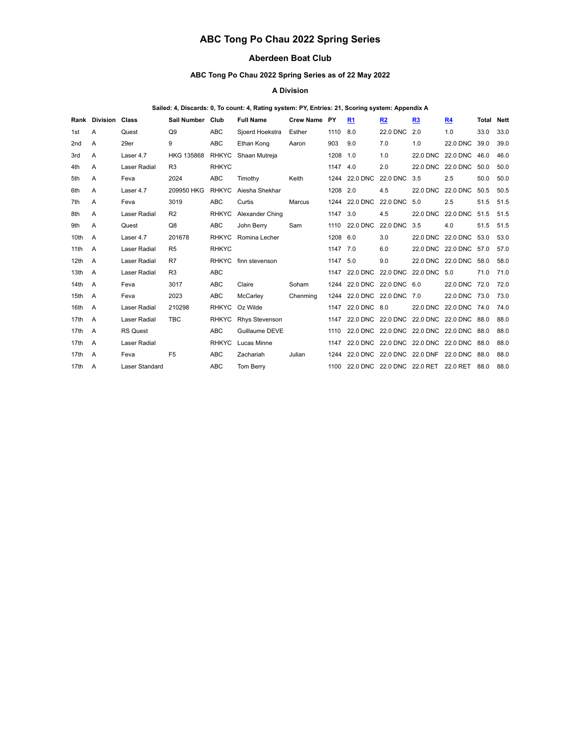# **ABC Tong Po Chau 2022 Spring Series**

# **Aberdeen Boat Club**

## **ABC Tong Po Chau 2022 Spring Series as of 22 May 2022**

#### **A Division**

## **Sailed: 4, Discards: 0, To count: 4, Rating system: PY, Entries: 21, Scoring system: Appendix A**

|                  | <b>Rank Division Class</b> |                       | Sail Number Club  |              | <b>Full Name</b>    | <b>Crew Name</b> | <b>PY</b> | R1                                            | R <sub>2</sub>    | R <sub>3</sub>    | <b>R4</b>                                | Total | <b>Nett</b> |
|------------------|----------------------------|-----------------------|-------------------|--------------|---------------------|------------------|-----------|-----------------------------------------------|-------------------|-------------------|------------------------------------------|-------|-------------|
| 1st              | A                          | Quest                 | Q9                | <b>ABC</b>   | Sjoerd Hoekstra     | Esther           | 1110      | 8.0                                           | <b>22.0 DNC</b>   | 2.0               | 1.0                                      | 33.0  | 33.0        |
| 2 <sub>nd</sub>  | A                          | 29er                  | 9                 | <b>ABC</b>   | Ethan Kong          | Aaron            | 903       | 9.0                                           | 7.0               | 1.0               | <b>22.0 DNC</b>                          | 39.0  | 39.0        |
| 3rd              | A                          | Laser 4.7             | <b>HKG 135868</b> | <b>RHKYC</b> | Shaan Mutreja       |                  | 1208      | 1.0                                           | 1.0               | 22.0 DNC          | 22.0 DNC                                 | 46.0  | 46.0        |
| 4th              | A                          | <b>Laser Radial</b>   | R3                | <b>RHKYC</b> |                     |                  | 1147 4.0  |                                               | 2.0               | 22.0 DNC 22.0 DNC |                                          | 50.0  | 50.0        |
| 5th              | A                          | Feva                  | 2024              | ABC          | Timothy             | Keith            | 1244      | 22.0 DNC                                      | <b>22.0 DNC</b>   | 3.5               | 2.5                                      | 50.0  | 50.0        |
| 6th              | A                          | Laser 4.7             | 209950 HKG        | <b>RHKYC</b> | Aiesha Shekhar      |                  | 1208 2.0  |                                               | 4.5               | 22.0 DNC          | 22.0 DNC                                 | 50.5  | 50.5        |
| 7th              | A                          | Feva                  | 3019              | <b>ABC</b>   | Curtis              | Marcus           |           | 1244 22.0 DNC                                 | <b>22.0 DNC</b>   | 5.0               | 2.5                                      | 51.5  | 51.5        |
| 8th              | A                          | <b>Laser Radial</b>   | R <sub>2</sub>    | <b>RHKYC</b> | Alexander Ching     |                  | 1147      | 3.0                                           | 4.5               | <b>22.0 DNC</b>   | <b>22.0 DNC</b>                          | 51.5  | 51.5        |
| 9th              | A                          | Quest                 | Q8                | <b>ABC</b>   | John Berry          | Sam              | 1110      | 22.0 DNC                                      | <b>22.0 DNC</b>   | 3.5               | 4.0                                      | 51.5  | 51.5        |
| 10th             | $\overline{A}$             | Laser 4.7             | 201678            |              | RHKYC Romina Lecher |                  | 1208 6.0  |                                               | 3.0               | 22.0 DNC          | 22.0 DNC                                 | 53.0  | 53.0        |
| 11th             | A                          | <b>Laser Radial</b>   | R <sub>5</sub>    | <b>RHKYC</b> |                     |                  | 1147 7.0  |                                               | 6.0               |                   | 22.0 DNC 22.0 DNC 57.0                   |       | 57.0        |
| 12th             | A                          | <b>Laser Radial</b>   | R7                | <b>RHKYC</b> | finn stevenson      |                  | 1147 5.0  |                                               | 9.0               | 22.0 DNC 22.0 DNC |                                          | 58.0  | 58.0        |
| 13 <sub>th</sub> | $\overline{A}$             | <b>Laser Radial</b>   | R3                | <b>ABC</b>   |                     |                  | 1147      | 22.0 DNC 22.0 DNC                             |                   | 22.0 DNC 5.0      |                                          | 71.0  | 71.0        |
| 14th             | A                          | Feva                  | 3017              | <b>ABC</b>   | Claire              | Soham            |           | 1244 22.0 DNC 22.0 DNC 6.0                    |                   |                   | 22.0 DNC 72.0                            |       | 72.0        |
| 15th             | A                          | Feva                  | 2023              | <b>ABC</b>   | McCarley            | Chenming         | 1244      | 22.0 DNC 22.0 DNC                             |                   | 7.0               | 22.0 DNC 73.0                            |       | 73.0        |
| 16th             | A                          | <b>Laser Radial</b>   | 210298            | <b>RHKYC</b> | Oz Wilde            |                  |           | 1147 22.0 DNC 8.0                             |                   |                   | 22.0 DNC 22.0 DNC 74.0                   |       | 74.0        |
| 17th             | A                          | <b>Laser Radial</b>   | <b>TBC</b>        | <b>RHKYC</b> | Rhys Stevenson      |                  |           | 1147 22.0 DNC 22.0 DNC                        |                   |                   | 22.0 DNC 22.0 DNC 88.0                   |       | 88.0        |
| 17th             | A                          | <b>RS Quest</b>       |                   | <b>ABC</b>   | Guillaume DEVE      |                  | 1110      |                                               |                   |                   | 22.0 DNC 22.0 DNC 22.0 DNC 22.0 DNC 88.0 |       | 88.0        |
| 17th             | A                          | <b>Laser Radial</b>   |                   | <b>RHKYC</b> | Lucas Minne         |                  |           | 1147 22.0 DNC 22.0 DNC 22.0 DNC 22.0 DNC 88.0 |                   |                   |                                          |       | 88.0        |
| 17th             | $\overline{A}$             | Feva                  | F <sub>5</sub>    | <b>ABC</b>   | Zachariah           | Julian           | 1244      | 22.0 DNC                                      | 22.0 DNC 22.0 DNF |                   | 22.0 DNC 88.0                            |       | 88.0        |
| 17th             | A                          | <b>Laser Standard</b> |                   | <b>ABC</b>   | Tom Berry           |                  |           | 1100 22.0 DNC 22.0 DNC 22.0 RET 22.0 RET      |                   |                   |                                          | 88.0  | 88.0        |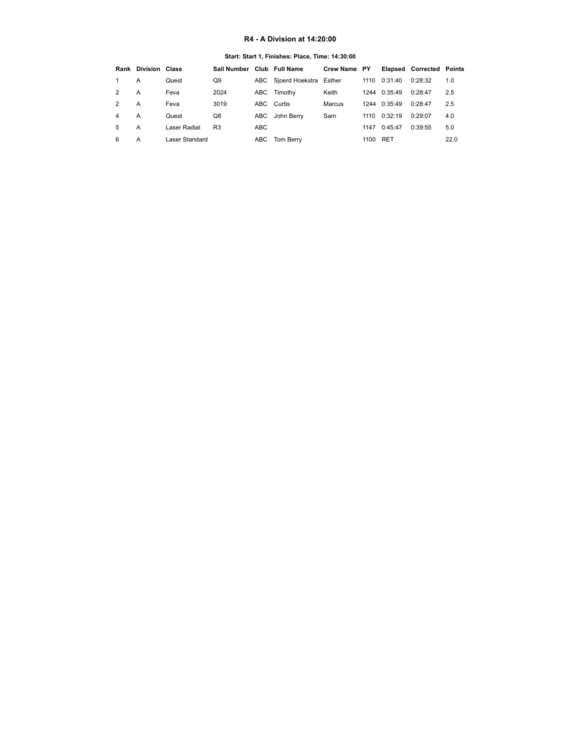## **R4 - A Division at 14:20:00**

## **Start: Start 1, Finishes: Place, Time: 14:30:00**

<span id="page-1-0"></span>

|               | <b>Rank Division Class</b> |                | Sail Number    |                 | Club Full Name             | Crew Name PY |      |              | <b>Elapsed Corrected Points</b> |      |
|---------------|----------------------------|----------------|----------------|-----------------|----------------------------|--------------|------|--------------|---------------------------------|------|
|               | А                          | Quest          | Q9             |                 | ABC Sjoerd Hoekstra Esther |              | 1110 | 0:31:40      | 0:28:32                         | 1.0  |
| 2             | А                          | Feva           | 2024           |                 | ABC Timothy                | Keith        |      | 1244 0:35:49 | 0:28:47                         | 2.5  |
| $\mathcal{P}$ | A                          | Feva           | 3019           |                 | ABC Curtis                 | Marcus       |      | 1244 0:35:49 | 0:28:47                         | 2.5  |
| 4             | A                          | Quest          | Q8             |                 | ABC John Berry             | Sam          | 1110 | 0:32:19      | 0:29:07                         | 4.0  |
| 5             | А                          | Laser Radial   | R <sub>3</sub> | ABC <sub></sub> |                            |              | 1147 | 0:45:47      | 0:39:55                         | 5.0  |
| 6             | A                          | Laser Standard |                |                 | ABC Tom Berry              |              | 1100 | <b>RET</b>   |                                 | 22.0 |